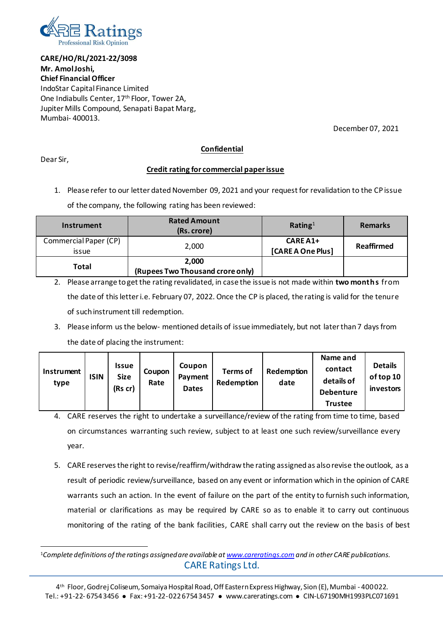

**CARE/HO/RL/2021-22/3098 Mr. Amol Joshi, Chief Financial Officer** IndoStar Capital Finance Limited One Indiabulls Center, 17<sup>th</sup> Floor, Tower 2A, Jupiter Mills Compound, Senapati Bapat Marg, Mumbai- 400013.

December 07, 2021

## **Confidential**

Dear Sir,

## **Credit rating for commercial paper issue**

1. Please refer to our letter dated November 09, 2021 and your request for revalidation to the CP issue

of the company, the following rating has been reviewed:

| Instrument                     | <b>Rated Amount</b><br>(Rs. crore)        | Rating <sup>1</sup>            | <b>Remarks</b> |
|--------------------------------|-------------------------------------------|--------------------------------|----------------|
| Commercial Paper (CP)<br>issue | 2,000                                     | $CAREA1+$<br>[CARE A One Plus] | Reaffirmed     |
| Total                          | 2,000<br>(Rupees Two Thousand crore only) |                                |                |

2. Please arrange to get the rating revalidated, in case the issue is not made within **two months** from the date of this letter i.e. February 07, 2022. Once the CP is placed, the rating is valid for the tenure of such instrument till redemption.

3. Please inform us the below- mentioned details of issue immediately, but not later than 7 days from the date of placing the instrument:

| <b>Instrument</b><br>type | ISIN | Issue<br><b>Size</b><br>(Rs cr) | Coupon<br>Rate | Coupon<br>Payment<br><b>Dates</b> | Terms of<br><b>Redemption</b> | Redemption<br>date | Name and<br>contact<br>details of<br><b>Debenture</b> | <b>Details</b><br>of top 10<br><i>investors</i> |
|---------------------------|------|---------------------------------|----------------|-----------------------------------|-------------------------------|--------------------|-------------------------------------------------------|-------------------------------------------------|
|                           |      |                                 |                |                                   |                               |                    | Trustee                                               |                                                 |

- 4. CARE reserves the right to undertake a surveillance/review of the rating from time to time, based on circumstances warranting such review, subject to at least one such review/surveillance every year.
- 5. CARE reserves the right to revise/reaffirm/withdraw the rating assigned as also revise the outlook, as a result of periodic review/surveillance, based on any event or information which in the opinion of CARE warrants such an action. In the event of failure on the part of the entity to furnish such information, material or clarifications as may be required by CARE so as to enable it to carry out continuous monitoring of the rating of the bank facilities, CARE shall carry out the review on the basis of best

CARE Ratings Ltd. 1*Complete definitions of the ratings assigned are available a[t www.careratings.com](http://www.careratings.com/)and in other CARE publications.*